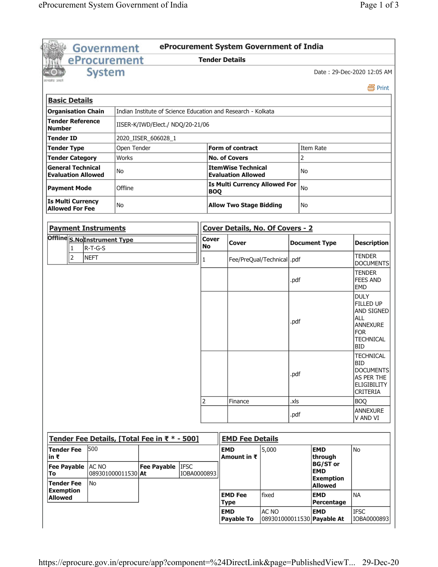|                                                             | Government                  |             |                                              |                                                        |                                | eProcurement System Government of India                      |       |                      |                                          |                                                                                                                                |  |
|-------------------------------------------------------------|-----------------------------|-------------|----------------------------------------------|--------------------------------------------------------|--------------------------------|--------------------------------------------------------------|-------|----------------------|------------------------------------------|--------------------------------------------------------------------------------------------------------------------------------|--|
|                                                             | eProcurement                |             |                                              |                                                        |                                | <b>Tender Details</b>                                        |       |                      |                                          |                                                                                                                                |  |
|                                                             | <b>System</b>               |             |                                              |                                                        |                                |                                                              |       |                      |                                          | Date: 29-Dec-2020 12:05 AM                                                                                                     |  |
| <b>Basic Details</b>                                        |                             |             |                                              |                                                        |                                |                                                              |       |                      |                                          | 昌 Print                                                                                                                        |  |
| <b>Organisation Chain</b>                                   |                             |             |                                              |                                                        |                                | Indian Institute of Science Education and Research - Kolkata |       |                      |                                          |                                                                                                                                |  |
|                                                             |                             |             |                                              |                                                        |                                |                                                              |       |                      |                                          |                                                                                                                                |  |
| <b>Tender Reference</b><br><b>Number</b>                    |                             |             | IISER-K/IWD/Elect./ NDQ/20-21/06             |                                                        |                                |                                                              |       |                      |                                          |                                                                                                                                |  |
| Tender ID                                                   |                             |             | 2020_IISER_606028_1                          |                                                        |                                |                                                              |       |                      |                                          |                                                                                                                                |  |
| <b>Tender Type</b>                                          |                             | Open Tender |                                              |                                                        |                                | <b>Form of contract</b>                                      |       |                      | Item Rate                                |                                                                                                                                |  |
| <b>Tender Category</b>                                      |                             | Works       |                                              |                                                        |                                | <b>No. of Covers</b>                                         |       | 2                    |                                          |                                                                                                                                |  |
| <b>General Technical</b><br>No<br><b>Evaluation Allowed</b> |                             |             |                                              | <b>ItemWise Technical</b><br><b>Evaluation Allowed</b> |                                | No                                                           |       |                      |                                          |                                                                                                                                |  |
| Offline<br><b>Payment Mode</b>                              |                             |             |                                              | <b>Is Multi Currency Allowed For</b><br><b>BOQ</b>     |                                |                                                              | No    |                      |                                          |                                                                                                                                |  |
| <b>Is Multi Currency</b><br>No<br><b>Allowed For Fee</b>    |                             |             |                                              |                                                        | <b>Allow Two Stage Bidding</b> |                                                              | No    |                      |                                          |                                                                                                                                |  |
| <b>Payment Instruments</b>                                  |                             |             |                                              |                                                        |                                | <b>Cover Details, No. Of Covers - 2</b>                      |       |                      |                                          |                                                                                                                                |  |
| Offline S.No Instrument Type                                |                             |             |                                              |                                                        | <b>Cover</b>                   | <b>Cover</b>                                                 |       | <b>Document Type</b> |                                          | <b>Description</b>                                                                                                             |  |
| $\mathbf{1}$<br>$\overline{2}$                              | R-T-G-S<br><b>NEFT</b>      |             |                                              |                                                        | <b>No</b><br>1                 | Fee/PreQual/Technical   .pdf                                 |       |                      |                                          | <b>TENDER</b>                                                                                                                  |  |
|                                                             |                             |             |                                              |                                                        |                                |                                                              |       |                      |                                          | <b>DOCUMENTS</b>                                                                                                               |  |
|                                                             |                             |             |                                              |                                                        |                                |                                                              |       | .pdf                 |                                          | <b>TENDER</b><br><b>FEES AND</b><br><b>EMD</b>                                                                                 |  |
|                                                             |                             |             |                                              |                                                        |                                |                                                              |       | .pdf                 |                                          | <b>DULY</b><br>FILLED UP<br><b>AND SIGNED</b><br><b>ALL</b><br><b>ANNEXURE</b><br><b>FOR</b><br><b>TECHNICAL</b><br><b>BID</b> |  |
|                                                             |                             |             |                                              |                                                        |                                |                                                              |       | .pdf                 |                                          | <b>TECHNICAL</b><br><b>BID</b><br><b>DOCUMENTS</b><br>AS PER THE<br>ELIGIBILITY<br><b>CRITERIA</b>                             |  |
|                                                             |                             |             |                                              |                                                        | 2                              | Finance                                                      |       | .xls                 |                                          | <b>BOQ</b>                                                                                                                     |  |
|                                                             |                             |             |                                              |                                                        |                                |                                                              |       | .pdf                 |                                          | <b>ANNEXURE</b><br>V AND VI                                                                                                    |  |
|                                                             |                             |             | Tender Fee Details, [Total Fee in ₹ * - 500] |                                                        |                                | <b>EMD Fee Details</b>                                       |       |                      |                                          |                                                                                                                                |  |
|                                                             | 500                         |             |                                              |                                                        |                                |                                                              |       |                      |                                          |                                                                                                                                |  |
| <b>Tender Fee</b><br>in ₹                                   |                             |             |                                              |                                                        |                                | <b>EMD</b><br>Amount in $\bar{x}$                            | 5,000 |                      | <b>EMD</b><br>through<br><b>BG/ST or</b> | No                                                                                                                             |  |
| <b>Fee Payable</b><br>To                                    | AC NO<br>089301000011530 At |             | <b>Fee Payable</b>                           | <b>IFSC</b><br>IOBA0000893                             |                                |                                                              |       |                      | <b>EMD</b>                               |                                                                                                                                |  |
| <b>Tender Fee</b>                                           | No                          |             |                                              |                                                        |                                |                                                              |       |                      | <b>Exemption</b><br><b>Allowed</b>       |                                                                                                                                |  |
| <b>Exemption</b><br><b>Allowed</b>                          |                             |             |                                              |                                                        |                                | <b>EMD Fee</b>                                               | fixed |                      | <b>EMD</b>                               | <b>NA</b>                                                                                                                      |  |
|                                                             |                             |             |                                              |                                                        |                                | <b>Type</b><br><b>EMD</b>                                    | AC NO |                      | Percentage<br><b>EMD</b>                 | <b>IFSC</b>                                                                                                                    |  |
|                                                             |                             |             |                                              |                                                        |                                | <b>Payable To</b>                                            |       |                      | 089301000011530 Payable At               | IOBA0000893                                                                                                                    |  |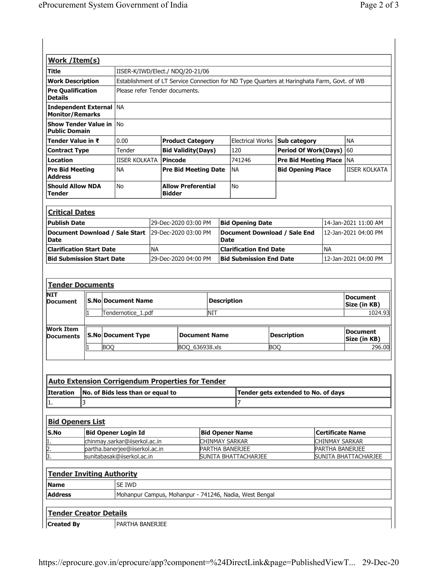| <b>Work /Item(s)</b>                                    |            |                           |                                                                                             |                      |                           |                    |                                             |                                 |                                 |                      |  |  |
|---------------------------------------------------------|------------|---------------------------|---------------------------------------------------------------------------------------------|----------------------|---------------------------|--------------------|---------------------------------------------|---------------------------------|---------------------------------|----------------------|--|--|
| Title                                                   |            |                           | IISER-K/IWD/Elect./ NDQ/20-21/06                                                            |                      |                           |                    |                                             |                                 |                                 |                      |  |  |
| <b>Work Description</b>                                 |            |                           | Establishment of LT Service Connection for ND Type Quarters at Haringhata Farm, Govt. of WB |                      |                           |                    |                                             |                                 |                                 |                      |  |  |
| <b>Pre Qualification</b><br><b>Details</b>              |            |                           | Please refer Tender documents.                                                              |                      |                           |                    |                                             |                                 |                                 |                      |  |  |
| <b>Independent External</b><br><b>Monitor/Remarks</b>   |            | <b>NA</b>                 |                                                                                             |                      |                           |                    |                                             |                                 |                                 |                      |  |  |
| <b>Show Tender Value in</b><br><b>Public Domain</b>     |            | <b>No</b>                 |                                                                                             |                      |                           |                    |                                             |                                 |                                 |                      |  |  |
| Tender Value in ₹                                       |            | 0.00                      |                                                                                             |                      | <b>Product Category</b>   |                    |                                             | Electrical Works   Sub category |                                 | <b>NA</b>            |  |  |
| <b>Contract Type</b>                                    |            | Tender                    |                                                                                             |                      | <b>Bid Validity(Days)</b> |                    | 120                                         | <b>Period Of Work(Days)</b>     |                                 | 60                   |  |  |
| <b>Location</b>                                         |            | IISER KOLKATA             |                                                                                             | Pincode              |                           |                    | 741246                                      | <b>Pre Bid Meeting Place</b>    |                                 | <b>NA</b>            |  |  |
| <b>Pre Bid Meeting</b><br><b>Address</b>                |            | <b>NA</b>                 | <b>Pre Bid Meeting Date</b>                                                                 |                      |                           |                    | <b>NA</b>                                   | <b>Bid Opening Place</b>        |                                 | <b>IISER KOLKATA</b> |  |  |
| <b>Should Allow NDA</b><br><b>No</b><br><b>Tender</b>   |            |                           | <b>Allow Preferential</b><br><b>Bidder</b>                                                  |                      |                           | <b>No</b>          |                                             |                                 |                                 |                      |  |  |
| <b>Critical Dates</b>                                   |            |                           |                                                                                             |                      |                           |                    |                                             |                                 |                                 |                      |  |  |
| <b>Publish Date</b>                                     |            |                           |                                                                                             | 29-Dec-2020 03:00 PM |                           |                    | <b>Bid Opening Date</b>                     |                                 |                                 | 14-Jan-2021 11:00 AM |  |  |
| Document Download / Sale Start<br><b>Date</b>           |            |                           | 29-Dec-2020 03:00 PM                                                                        |                      |                           |                    | Document Download / Sale End<br><b>Date</b> |                                 |                                 | 12-Jan-2021 04:00 PM |  |  |
| <b>Clarification Start Date</b>                         |            |                           | <b>NA</b>                                                                                   |                      |                           |                    | <b>Clarification End Date</b><br><b>NA</b>  |                                 |                                 |                      |  |  |
| <b>Bid Submission Start Date</b>                        |            |                           | 29-Dec-2020 04:00 PM                                                                        |                      |                           |                    | <b>Bid Submission End Date</b>              |                                 |                                 | 12-Jan-2021 04:00 PM |  |  |
| <b>Tender Documents</b><br><b>NIT</b>                   |            |                           |                                                                                             |                      |                           |                    |                                             |                                 |                                 |                      |  |  |
| <b>Document</b>                                         |            | <b>S.No Document Name</b> |                                                                                             |                      |                           | <b>Description</b> |                                             |                                 | <b>Document</b><br>Size (in KB) |                      |  |  |
|                                                         | 11         | Tendernotice_1.pdf        |                                                                                             |                      |                           | NIT                | 1024.93                                     |                                 |                                 |                      |  |  |
| <b>Work Item</b><br><b>Documents</b>                    |            | <b>S.No Document Type</b> | <b>Document Name</b>                                                                        |                      |                           |                    | <b>Description</b>                          |                                 |                                 |                      |  |  |
|                                                         | <b>BOQ</b> |                           |                                                                                             | BOQ 636938.xls       |                           |                    |                                             | BOO                             |                                 | 296.00               |  |  |
| <b>Auto Extension Corrigendum Properties for Tender</b> |            |                           |                                                                                             |                      |                           |                    |                                             |                                 |                                 |                      |  |  |

| TAUTO EXTENSION COFFIGENTIUM PRODEFTIES FOR TENGER |                                                    |                                     |  |  |
|----------------------------------------------------|----------------------------------------------------|-------------------------------------|--|--|
|                                                    | <b>Iteration</b> No. of Bids less than or equal to | Tender gets extended to No. of days |  |  |
|                                                    |                                                    |                                     |  |  |

| <b>Bid Openers List</b> |                                  |                        |                             |  |  |  |
|-------------------------|----------------------------------|------------------------|-----------------------------|--|--|--|
| <b>S.No</b>             | <b>Bid Opener Login Id</b>       | <b>Bid Opener Name</b> | Certificate Name            |  |  |  |
| 1                       | chinmay.sarkar@iiserkol.ac.in    | <b>CHINMAY SARKAR</b>  | <b>CHINMAY SARKAR</b>       |  |  |  |
| 2.                      | partha.banerjee@ijserkol.ac.in   | <b>PARTHA BANERJEE</b> | <b>PARTHA BANERJEE</b>      |  |  |  |
| 3                       | sunitabasak@iiserkol.ac.in       | SUNITA BHATTACHARJEE   | <b>SUNITA BHATTACHARJEE</b> |  |  |  |
|                         |                                  |                        |                             |  |  |  |
|                         | <b>Tender Inviting Authority</b> |                        |                             |  |  |  |

| <b>Name</b>    | SE IWD                                                   |  |
|----------------|----------------------------------------------------------|--|
| <b>Address</b> | I Mohanpur Campus, Mohanpur - 741246, Nadia, West Bengal |  |
|                |                                                          |  |

## **Tender Creator Details**

Created By PARTHA BANERJEE